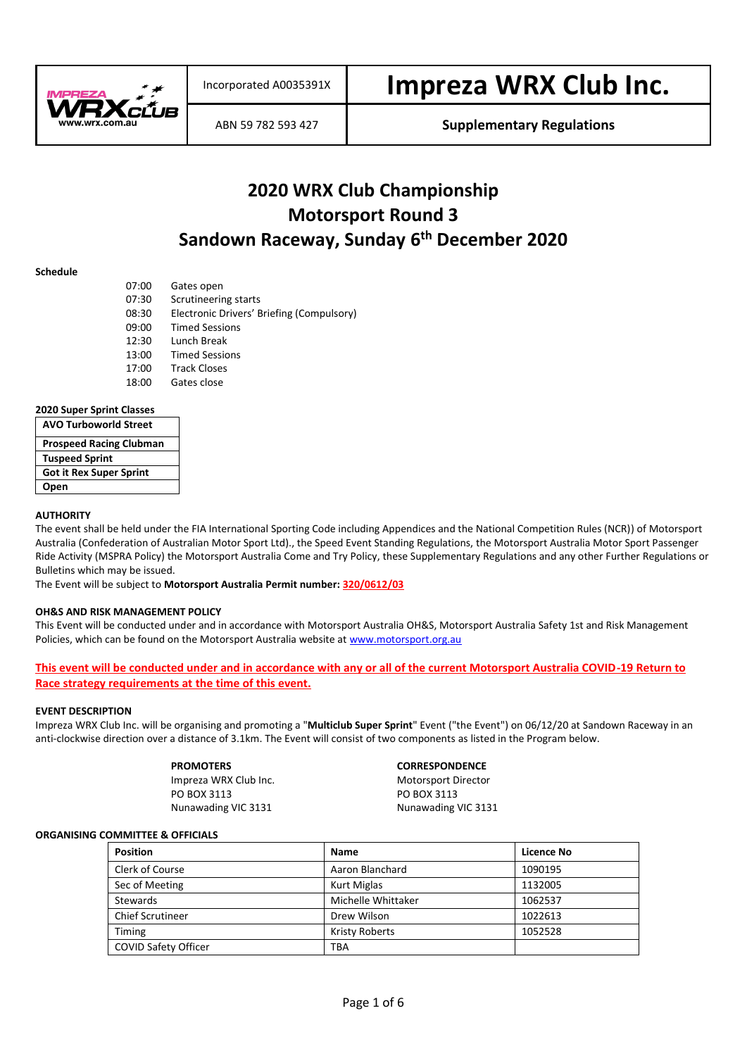

# **2020 WRX Club Championship Motorsport Round 3 Sandown Raceway, Sunday 6 th December 2020**

#### **Schedule**

| 07:00 | Gates open                                |
|-------|-------------------------------------------|
| 07:30 | Scrutineering starts                      |
| 08:30 | Electronic Drivers' Briefing (Compulsory) |
| 09:00 | <b>Timed Sessions</b>                     |
| 12:30 | Lunch Break                               |
| 13:00 | <b>Timed Sessions</b>                     |
| 17:00 | <b>Track Closes</b>                       |
| 18:00 | Gates close                               |
|       |                                           |

#### **2020 Super Sprint Classes**

| <b>AVO Turboworld Street</b>   |
|--------------------------------|
| <b>Prospeed Racing Clubman</b> |
| <b>Tuspeed Sprint</b>          |
| <b>Got it Rex Super Sprint</b> |
| Open                           |

#### **AUTHORITY**

The event shall be held under the FIA International Sporting Code including Appendices and the National Competition Rules (NCR)) of Motorsport Australia (Confederation of Australian Motor Sport Ltd)., the Speed Event Standing Regulations, the Motorsport Australia Motor Sport Passenger Ride Activity (MSPRA Policy) the Motorsport Australia Come and Try Policy, these Supplementary Regulations and any other Further Regulations or Bulletins which may be issued.

The Event will be subject to **Motorsport Australia Permit number: 320/0612/03**

#### **OH&S AND RISK MANAGEMENT POLICY**

This Event will be conducted under and in accordance with Motorsport Australia OH&S, Motorsport Australia Safety 1st and Risk Management Policies, which can be found on the Motorsport Australia website a[t www.motorsport.org.au](http://www.motorsport.org.au/)

**This event will be conducted under and in accordance with any or all of the current Motorsport Australia COVID-19 Return to Race strategy requirements at the time of this event.**

#### **EVENT DESCRIPTION**

Impreza WRX Club Inc. will be organising and promoting a "**Multiclub Super Sprint**" Event ("the Event") on 06/12/20 at Sandown Raceway in an anti-clockwise direction over a distance of 3.1km. The Event will consist of two components as listed in the Program below.

PO BOX 3113 Nunawading VIC 3131 Nunawading VIC 3131

#### **PROMOTERS CORRESPONDENCE**

Impreza WRX Club Inc.<br>
PO BOX 3113<br>
PO BOX 3113

#### **ORGANISING COMMITTEE & OFFICIALS**

| <b>Position</b>         | Name                  | Licence No |
|-------------------------|-----------------------|------------|
| Clerk of Course         | Aaron Blanchard       | 1090195    |
| Sec of Meeting          | <b>Kurt Miglas</b>    | 1132005    |
| Stewards                | Michelle Whittaker    | 1062537    |
| <b>Chief Scrutineer</b> | Drew Wilson           | 1022613    |
| Timing                  | <b>Kristy Roberts</b> | 1052528    |
| COVID Safety Officer    | <b>TBA</b>            |            |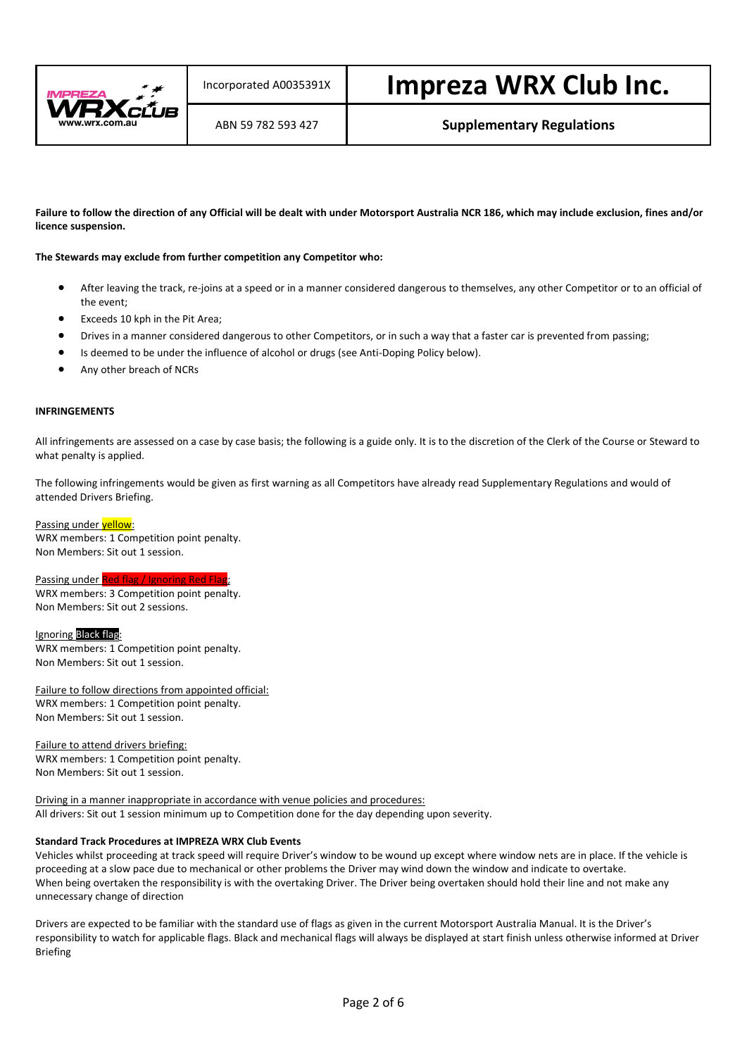

**Failure to follow the direction of any Official will be dealt with under Motorsport Australia NCR 186, which may include exclusion, fines and/or licence suspension.**

#### **The Stewards may exclude from further competition any Competitor who:**

- After leaving the track, re-joins at a speed or in a manner considered dangerous to themselves, any other Competitor or to an official of the event;
- Exceeds 10 kph in the Pit Area;
- Drives in a manner considered dangerous to other Competitors, or in such a way that a faster car is prevented from passing;
- Is deemed to be under the influence of alcohol or drugs (see Anti-Doping Policy below).
- Any other breach of NCRs

#### **INFRINGEMENTS**

All infringements are assessed on a case by case basis; the following is a guide only. It is to the discretion of the Clerk of the Course or Steward to what penalty is applied.

The following infringements would be given as first warning as all Competitors have already read Supplementary Regulations and would of attended Drivers Briefing.

#### Passing under yellow:

WRX members: 1 Competition point penalty. Non Members: Sit out 1 session.

# Passing under Red flag / Ignoring Red Flag

WRX members: 3 Competition point penalty. Non Members: Sit out 2 sessions.

#### Ignoring Black flag:

WRX members: 1 Competition point penalty. Non Members: Sit out 1 session.

Failure to follow directions from appointed official: WRX members: 1 Competition point penalty. Non Members: Sit out 1 session.

Failure to attend drivers briefing: WRX members: 1 Competition point penalty. Non Members: Sit out 1 session.

Driving in a manner inappropriate in accordance with venue policies and procedures: All drivers: Sit out 1 session minimum up to Competition done for the day depending upon severity.

#### **Standard Track Procedures at IMPREZA WRX Club Events**

Vehicles whilst proceeding at track speed will require Driver's window to be wound up except where window nets are in place. If the vehicle is proceeding at a slow pace due to mechanical or other problems the Driver may wind down the window and indicate to overtake. When being overtaken the responsibility is with the overtaking Driver. The Driver being overtaken should hold their line and not make any unnecessary change of direction

Drivers are expected to be familiar with the standard use of flags as given in the current Motorsport Australia Manual. It is the Driver's responsibility to watch for applicable flags. Black and mechanical flags will always be displayed at start finish unless otherwise informed at Driver Briefing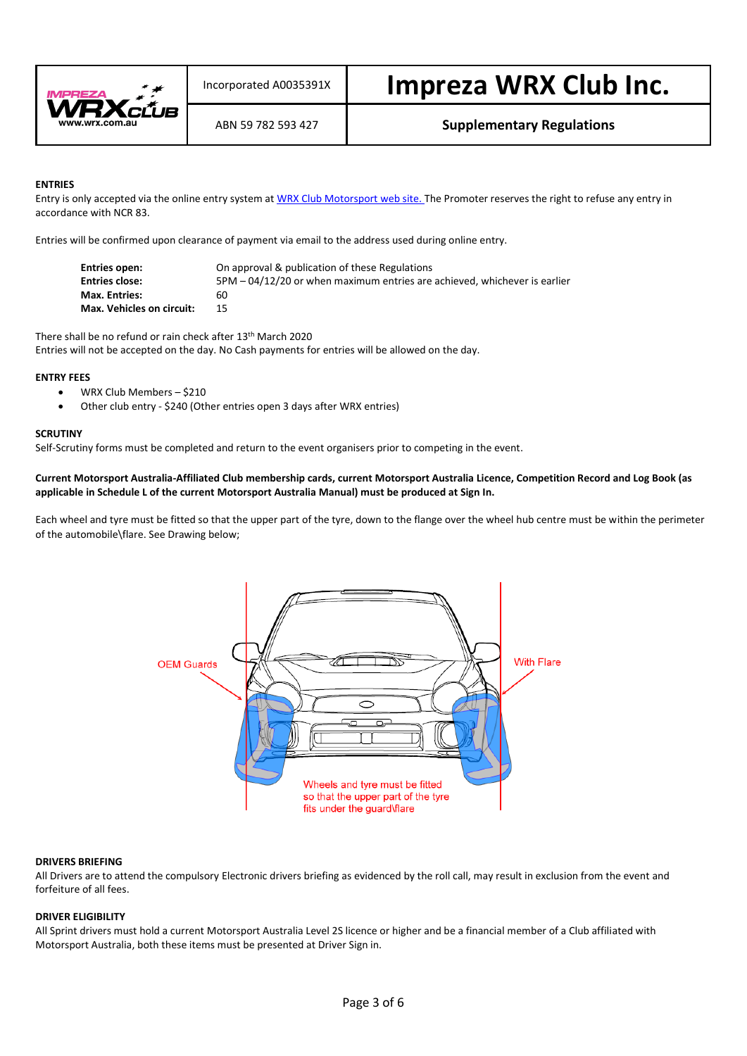

#### **ENTRIES**

Entry is only accepted via the online entry system a[t WRX Club Motorsport web site.](http://www.wrx.com.au/motorsport) The Promoter reserves the right to refuse any entry in accordance with NCR 83.

Entries will be confirmed upon clearance of payment via email to the address used during online entry.

| Entries open:             | On approval & publication of these Regulations                            |
|---------------------------|---------------------------------------------------------------------------|
| <b>Entries close:</b>     | 5PM - 04/12/20 or when maximum entries are achieved, whichever is earlier |
| <b>Max. Entries:</b>      | 60.                                                                       |
| Max. Vehicles on circuit: | 15                                                                        |

There shall be no refund or rain check after 13th March 2020 Entries will not be accepted on the day. No Cash payments for entries will be allowed on the day.

#### **ENTRY FEES**

- WRX Club Members \$210
- Other club entry \$240 (Other entries open 3 days after WRX entries)

#### **SCRUTINY**

Self-Scrutiny forms must be completed and return to the event organisers prior to competing in the event.

**Current Motorsport Australia-Affiliated Club membership cards, current Motorsport Australia Licence, Competition Record and Log Book (as applicable in Schedule L of the current Motorsport Australia Manual) must be produced at Sign In.**

Each wheel and tyre must be fitted so that the upper part of the tyre, down to the flange over the wheel hub centre must be within the perimeter of the automobile\flare. See Drawing below;



#### **DRIVERS BRIEFING**

All Drivers are to attend the compulsory Electronic drivers briefing as evidenced by the roll call, may result in exclusion from the event and forfeiture of all fees.

#### **DRIVER ELIGIBILITY**

All Sprint drivers must hold a current Motorsport Australia Level 2S licence or higher and be a financial member of a Club affiliated with Motorsport Australia, both these items must be presented at Driver Sign in.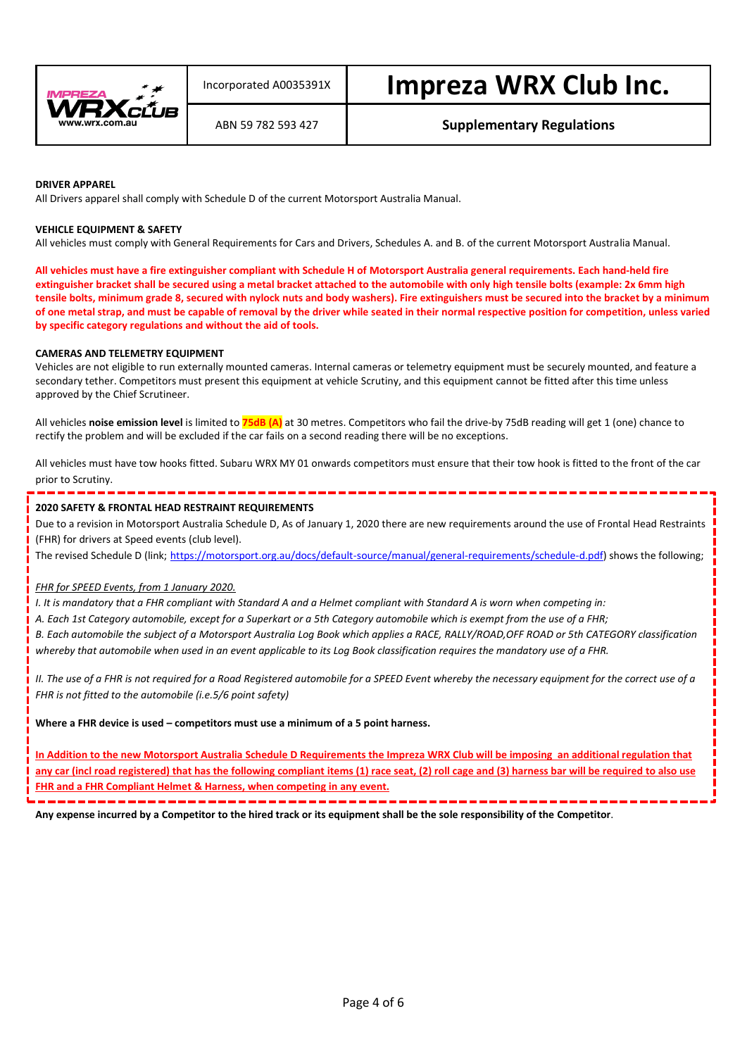

#### **DRIVER APPAREL**

All Drivers apparel shall comply with Schedule D of the current Motorsport Australia Manual.

#### **VEHICLE EQUIPMENT & SAFETY**

All vehicles must comply with General Requirements for Cars and Drivers, Schedules A. and B. of the current Motorsport Australia Manual.

**All vehicles must have a fire extinguisher compliant with Schedule H of Motorsport Australia general requirements. Each hand-held fire extinguisher bracket shall be secured using a metal bracket attached to the automobile with only high tensile bolts (example: 2x 6mm high tensile bolts, minimum grade 8, secured with nylock nuts and body washers). Fire extinguishers must be secured into the bracket by a minimum of one metal strap, and must be capable of removal by the driver while seated in their normal respective position for competition, unless varied by specific category regulations and without the aid of tools.**

#### **CAMERAS AND TELEMETRY EQUIPMENT**

Vehicles are not eligible to run externally mounted cameras. Internal cameras or telemetry equipment must be securely mounted, and feature a secondary tether. Competitors must present this equipment at vehicle Scrutiny, and this equipment cannot be fitted after this time unless approved by the Chief Scrutineer.

All vehicles **noise emission level** is limited to **75dB (A)** at 30 metres. Competitors who fail the drive-by 75dB reading will get 1 (one) chance to rectify the problem and will be excluded if the car fails on a second reading there will be no exceptions.

All vehicles must have tow hooks fitted. Subaru WRX MY 01 onwards competitors must ensure that their tow hook is fitted to the front of the car prior to Scrutiny.

#### **2020 SAFETY & FRONTAL HEAD RESTRAINT REQUIREMENTS**

Due to a revision in Motorsport Australia Schedule D, As of January 1, 2020 there are new requirements around the use of Frontal Head Restraints (FHR) for drivers at Speed events (club level).

The revised Schedule D (link; [https://motorsport.org.au/docs/default-source/manual/general-requirements/schedule-d.pdf\)](https://motorsport.org.au/docs/default-source/manual/general-requirements/schedule-d.pdf) shows the following;

#### *FHR for SPEED Events, from 1 January 2020.*

*I. It is mandatory that a FHR compliant with Standard A and a Helmet compliant with Standard A is worn when competing in:*

*A. Each 1st Category automobile, except for a Superkart or a 5th Category automobile which is exempt from the use of a FHR;*

*B. Each automobile the subject of a Motorsport Australia Log Book which applies a RACE, RALLY/ROAD,OFF ROAD or 5th CATEGORY classification whereby that automobile when used in an event applicable to its Log Book classification requires the mandatory use of a FHR.*

*II. The use of a FHR is not required for a Road Registered automobile for a SPEED Event whereby the necessary equipment for the correct use of a FHR is not fitted to the automobile (i.e.5/6 point safety)*

**Where a FHR device is used – competitors must use a minimum of a 5 point harness.**

**In Addition to the new Motorsport Australia Schedule D Requirements the Impreza WRX Club will be imposing an additional regulation that any car (incl road registered) that has the following compliant items (1) race seat, (2) roll cage and (3) harness bar will be required to also use FHR and a FHR Compliant Helmet & Harness, when competing in any event.**

, and the contract and the contract of the contract of the contract of the contract of **Any expense incurred by a Competitor to the hired track or its equipment shall be the sole responsibility of the Competitor**.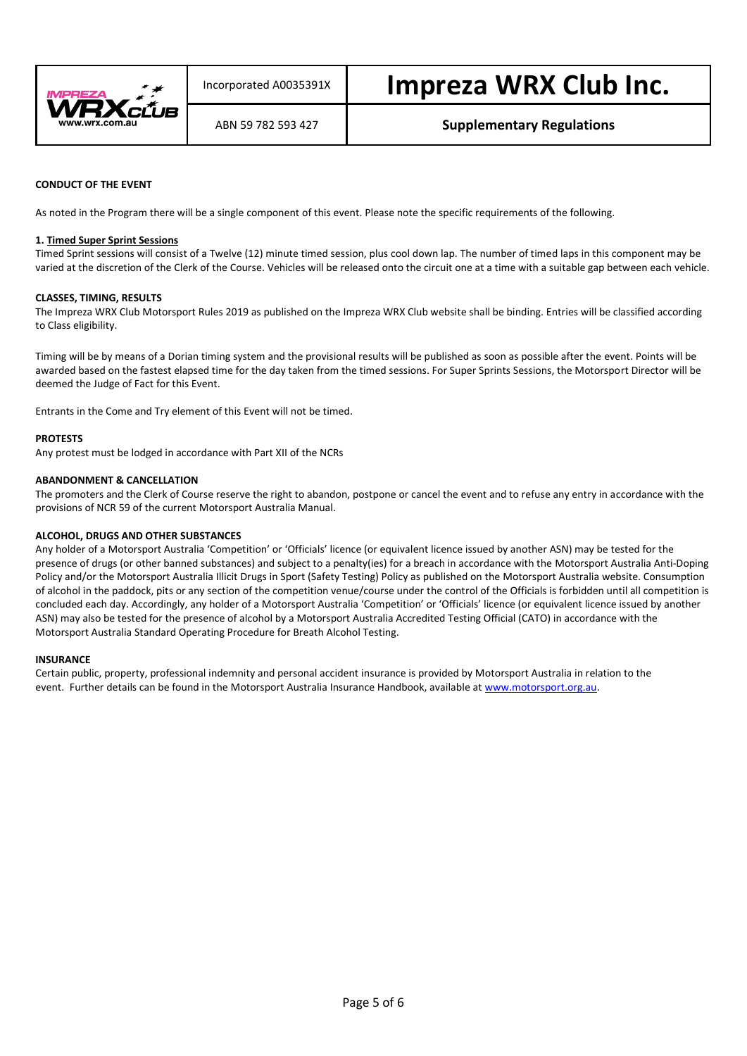

### **CONDUCT OF THE EVENT**

As noted in the Program there will be a single component of this event. Please note the specific requirements of the following.

#### **1. Timed Super Sprint Sessions**

Timed Sprint sessions will consist of a Twelve (12) minute timed session, plus cool down lap. The number of timed laps in this component may be varied at the discretion of the Clerk of the Course. Vehicles will be released onto the circuit one at a time with a suitable gap between each vehicle.

#### **CLASSES, TIMING, RESULTS**

The Impreza WRX Club Motorsport Rules 2019 as published on the Impreza WRX Club website shall be binding. Entries will be classified according to Class eligibility.

Timing will be by means of a Dorian timing system and the provisional results will be published as soon as possible after the event. Points will be awarded based on the fastest elapsed time for the day taken from the timed sessions. For Super Sprints Sessions, the Motorsport Director will be deemed the Judge of Fact for this Event.

Entrants in the Come and Try element of this Event will not be timed.

#### **PROTESTS**

Any protest must be lodged in accordance with Part XII of the NCRs

#### **ABANDONMENT & CANCELLATION**

The promoters and the Clerk of Course reserve the right to abandon, postpone or cancel the event and to refuse any entry in accordance with the provisions of NCR 59 of the current Motorsport Australia Manual.

#### **ALCOHOL, DRUGS AND OTHER SUBSTANCES**

Any holder of a Motorsport Australia 'Competition' or 'Officials' licence (or equivalent licence issued by another ASN) may be tested for the presence of drugs (or other banned substances) and subject to a penalty(ies) for a breach in accordance with the Motorsport Australia Anti-Doping Policy and/or the Motorsport Australia Illicit Drugs in Sport (Safety Testing) Policy as published on the Motorsport Australia website. Consumption of alcohol in the paddock, pits or any section of the competition venue/course under the control of the Officials is forbidden until all competition is concluded each day. Accordingly, any holder of a Motorsport Australia 'Competition' or 'Officials' licence (or equivalent licence issued by another ASN) may also be tested for the presence of alcohol by a Motorsport Australia Accredited Testing Official (CATO) in accordance with the Motorsport Australia Standard Operating Procedure for Breath Alcohol Testing.

#### **INSURANCE**

Certain public, property, professional indemnity and personal accident insurance is provided by Motorsport Australia in relation to the event. Further details can be found in the Motorsport Australia Insurance Handbook, available a[t www.motorsport.org.au.](http://www.motorsport.org.au/)